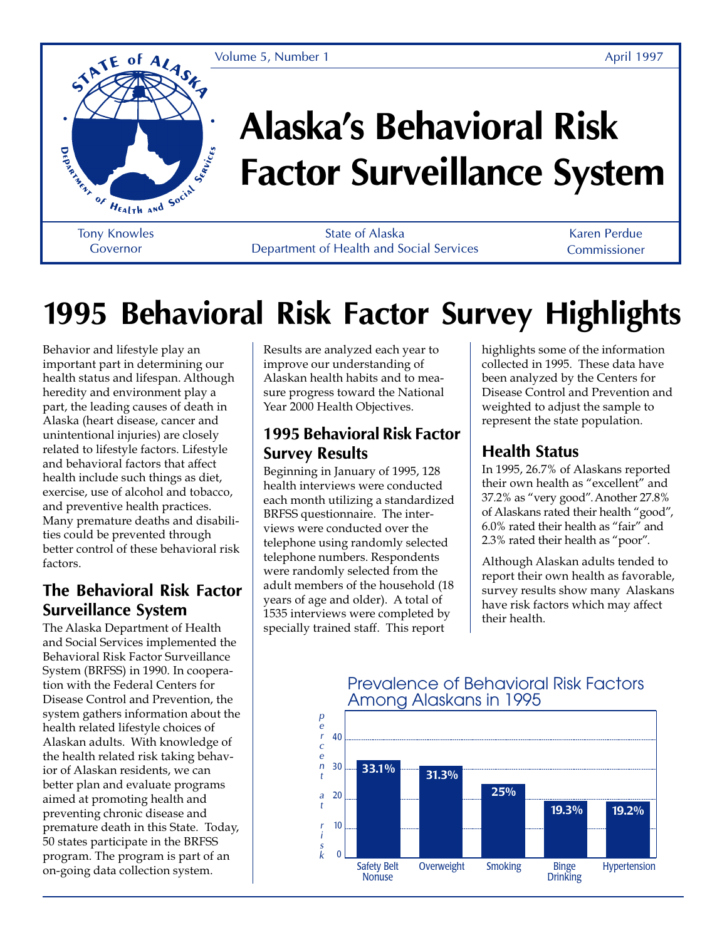

# **Alaska's Behavioral Risk Factor Surveillance System**

Governor

State of Alaska Department of Health and Social Services

Karen Perdue Commissioner

# **1995 Behavioral Risk Factor Survey Highlights**

Behavior and lifestyle play an important part in determining our health status and lifespan. Although heredity and environment play a part, the leading causes of death in Alaska (heart disease, cancer and unintentional injuries) are closely related to lifestyle factors. Lifestyle and behavioral factors that affect health include such things as diet, exercise, use of alcohol and tobacco, and preventive health practices. Many premature deaths and disabilities could be prevented through better control of these behavioral risk factors.

#### **The Behavioral Risk Factor Surveillance System**

The Alaska Department of Health and Social Services implemented the Behavioral Risk Factor Surveillance System (BRFSS) in 1990. In cooperation with the Federal Centers for Disease Control and Prevention, the system gathers information about the health related lifestyle choices of Alaskan adults. With knowledge of the health related risk taking behavior of Alaskan residents, we can better plan and evaluate programs aimed at promoting health and preventing chronic disease and premature death in this State. Today, 50 states participate in the BRFSS program. The program is part of an on-going data collection system.

Results are analyzed each year to improve our understanding of Alaskan health habits and to measure progress toward the National Year 2000 Health Objectives.

### **1995 Behavioral Risk Factor Survey Results**

Beginning in January of 1995, 128 health interviews were conducted each month utilizing a standardized BRFSS questionnaire. The interviews were conducted over the telephone using randomly selected telephone numbers. Respondents were randomly selected from the adult members of the household (18 years of age and older). A total of 1535 interviews were completed by specially trained staff. This report

highlights some of the information collected in 1995. These data have been analyzed by the Centers for Disease Control and Prevention and weighted to adjust the sample to represent the state population.

### **Health Status**

In 1995, 26.7% of Alaskans reported their own health as "excellent" and 37.2% as "very good". Another 27.8% of Alaskans rated their health "good", 6.0% rated their health as "fair" and 2.3% rated their health as "poor".

Although Alaskan adults tended to report their own health as favorable, survey results show many Alaskans have risk factors which may affect their health.

#### $\Omega$ 10 20 30 40 *p e r c e n t a t r i s k* Safety Belt **Nonuse** Overweight Smoking Binge **Drinking** Hypertension **25% 19.2% 31.3% 19.3% 33.1%**

#### Prevalence of Behavioral Risk Factors Among Alaskans in 1995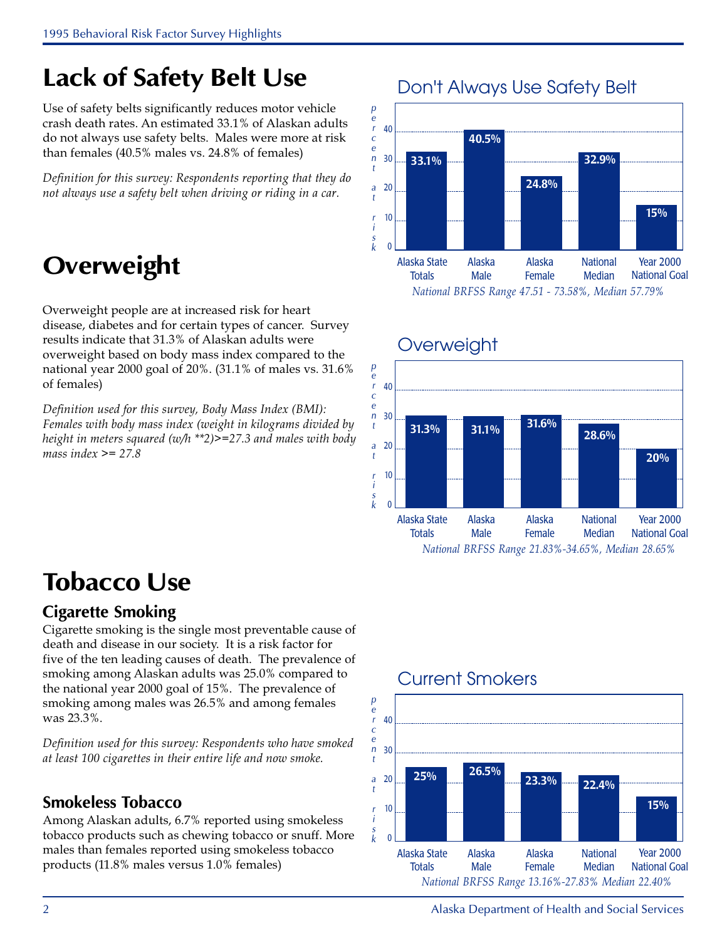### **Lack of Safety Belt Use**

Use of safety belts significantly reduces motor vehicle crash death rates. An estimated 33.1% of Alaskan adults do not always use safety belts. Males were more at risk than females (40.5% males vs. 24.8% of females)

Definition for this survey: Respondents reporting that they do not always use a safety belt when driving or riding in a car.

### **Overweight**

Overweight people are at increased risk for heart disease, diabetes and for certain types of cancer. Survey results indicate that 31.3% of Alaskan adults were overweight based on body mass index compared to the national year 2000 goal of 20%. (31.1% of males vs. 31.6% of females)

Definition used for this survey, Body Mass Index (BMI): Females with body mass index (weight in kilograms divided by height in meters squared (w/h \*\*2) $\ge$ =27.3 and males with body mass index  $\ge$  = 27.8







### **Overweight**

### **Tobacco Use**

### **Cigarette Smoking**

Cigarette smoking is the single most preventable cause of death and disease in our society. It is a risk factor for five of the ten leading causes of death. The prevalence of smoking among Alaskan adults was 25.0% compared to the national year 2000 goal of 15%. The prevalence of smoking among males was 26.5% and among females was 23.3%.

Definition used for this survey: Respondents who have smoked at least 100 cigarettes in their entire life and now smoke.

#### **Smokeless Tobacco**

Among Alaskan adults, 6.7% reported using smokeless tobacco products such as chewing tobacco or snuff. More males than females reported using smokeless tobacco products (11.8% males versus 1.0% females)

### Current Smokers



2 Alaska Department of Health and Social Services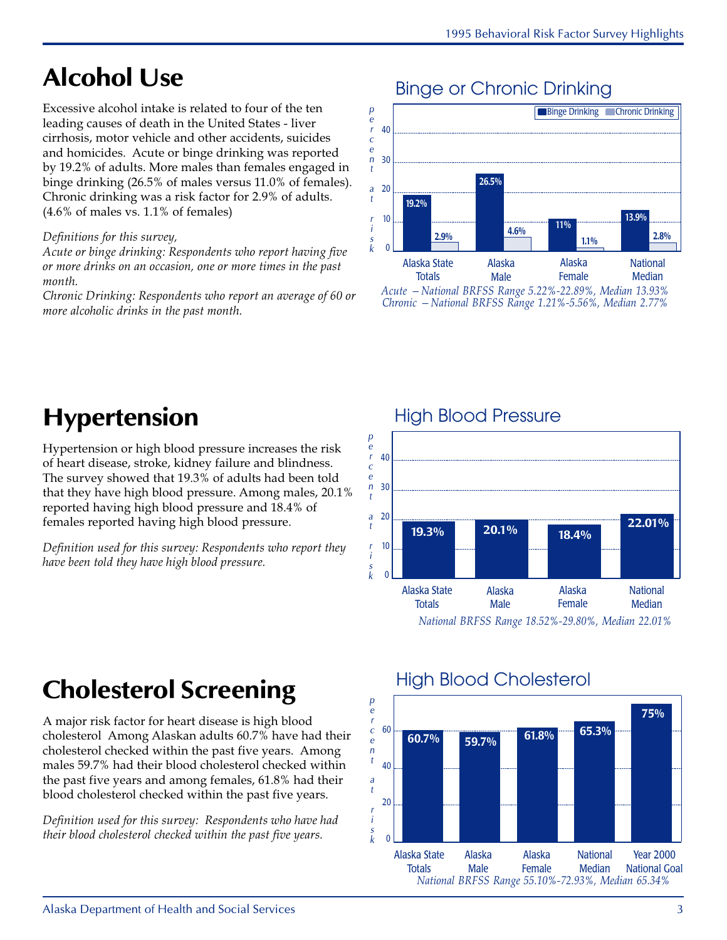## **Alcohol Use**

Excessive alcohol intake is related to four of the ten leading causes of death in the United States - liver cirrhosis, motor vehicle and other accidents, suicides and homicides. Acute or binge drinking was reported by 19.2% of adults. More males than females engaged in binge drinking (26.5% of males versus 11.0% of females). Chronic drinking was a risk factor for 2.9% of adults. (4.6% of males vs. 1.1% of females)

#### Definitions for this survey,

Acute or binge drinking: Respondents who report having five or more drinks on an occasion, one or more times in the past month.

Chronic Drinking: Respondents who report an average of 60 or more alcoholic drinks in the past month.

### Binge or Chronic Drinking



Acute —National BRFSS Range 5.22%-22.89%, Median 13.93% Chronic —National BRFSS Range 1.21%-5.56%, Median 2.77%

### **Hypertension**

Hypertension or high blood pressure increases the risk of heart disease, stroke, kidney failure and blindness. The survey showed that 19.3% of adults had been told that they have high blood pressure. Among males, 20.1% reported having high blood pressure and 18.4% of females reported having high blood pressure.

Definition used for this survey: Respondents who report they have been told they have high blood pressure.



National BRFSS Range 18.52%-29.80%, Median 22.01%

### **Cholesterol Screening**

A major risk factor for heart disease is high blood cholesterol Among Alaskan adults 60.7% have had their cholesterol checked within the past five years. Among males 59.7% had their blood cholesterol checked within the past five years and among females, 61.8% had their blood cholesterol checked within the past five years.

Definition used for this survey: Respondents who have had their blood cholesterol checked within the past five years.

### High Blood Cholesterol